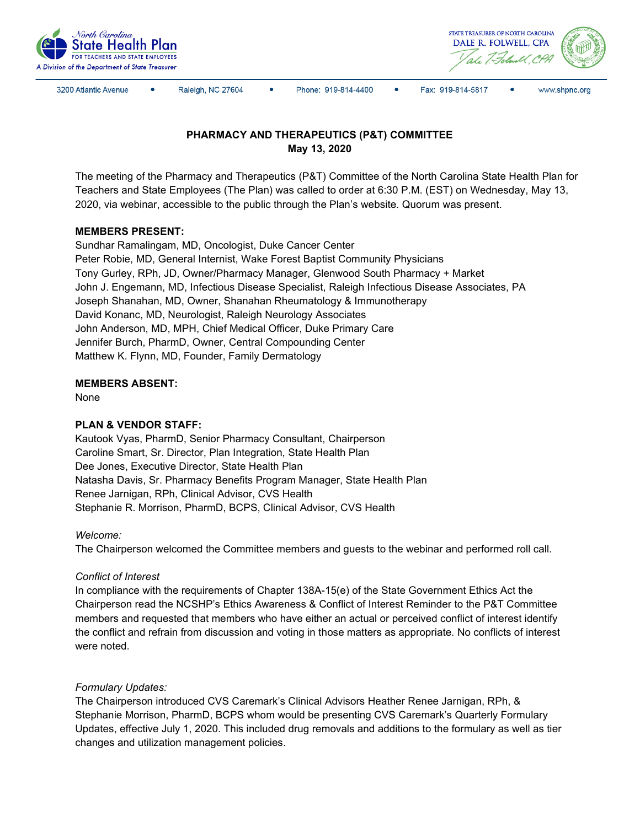



3200 Atlantic Avenue

Raleigh, NC 27604

Phone: 919-814-4400

 $\bullet$ Fax: 919-814-5817



# **PHARMACY AND THERAPEUTICS (P&T) COMMITTEE May 13, 2020**

The meeting of the Pharmacy and Therapeutics (P&T) Committee of the North Carolina State Health Plan for Teachers and State Employees (The Plan) was called to order at 6:30 P.M. (EST) on Wednesday, May 13, 2020, via webinar, accessible to the public through the Plan's website. Quorum was present.

## **MEMBERS PRESENT:**

Sundhar Ramalingam, MD, Oncologist, Duke Cancer Center Peter Robie, MD, General Internist, Wake Forest Baptist Community Physicians Tony Gurley, RPh, JD, Owner/Pharmacy Manager, Glenwood South Pharmacy + Market John J. Engemann, MD, Infectious Disease Specialist, Raleigh Infectious Disease Associates, PA Joseph Shanahan, MD, Owner, Shanahan Rheumatology & Immunotherapy David Konanc, MD, Neurologist, Raleigh Neurology Associates John Anderson, MD, MPH, Chief Medical Officer, Duke Primary Care Jennifer Burch, PharmD, Owner, Central Compounding Center Matthew K. Flynn, MD, Founder, Family Dermatology

### **MEMBERS ABSENT:**

None

### **PLAN & VENDOR STAFF:**

Kautook Vyas, PharmD, Senior Pharmacy Consultant, Chairperson Caroline Smart, Sr. Director, Plan Integration, State Health Plan Dee Jones, Executive Director, State Health Plan Natasha Davis, Sr. Pharmacy Benefits Program Manager, State Health Plan Renee Jarnigan, RPh, Clinical Advisor, CVS Health Stephanie R. Morrison, PharmD, BCPS, Clinical Advisor, CVS Health

### *Welcome:*

The Chairperson welcomed the Committee members and guests to the webinar and performed roll call.

### *Conflict of Interest*

In compliance with the requirements of Chapter 138A-15(e) of the State Government Ethics Act the Chairperson read the NCSHP's Ethics Awareness & Conflict of Interest Reminder to the P&T Committee members and requested that members who have either an actual or perceived conflict of interest identify the conflict and refrain from discussion and voting in those matters as appropriate. No conflicts of interest were noted.

### *Formulary Updates:*

The Chairperson introduced CVS Caremark's Clinical Advisors Heather Renee Jarnigan, RPh, & Stephanie Morrison, PharmD, BCPS whom would be presenting CVS Caremark's Quarterly Formulary Updates, effective July 1, 2020. This included drug removals and additions to the formulary as well as tier changes and utilization management policies.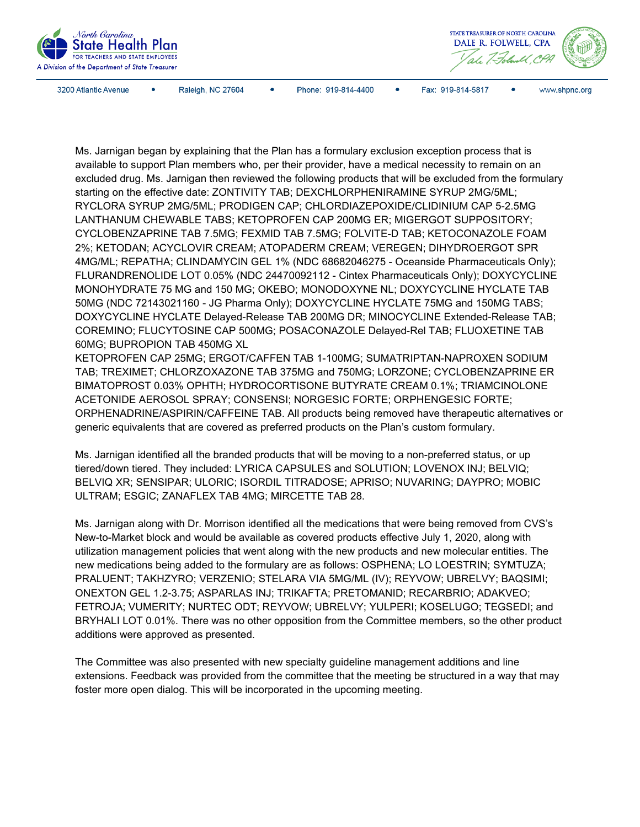

Raleigh, NC 27604

Phone: 919-814-4400  $\bullet$ 



www.shpnc.org

Fax: 919-814-5817

Ms. Jarnigan began by explaining that the Plan has a formulary exclusion exception process that is available to support Plan members who, per their provider, have a medical necessity to remain on an excluded drug. Ms. Jarnigan then reviewed the following products that will be excluded from the formulary starting on the effective date: ZONTIVITY TAB; DEXCHLORPHENIRAMINE SYRUP 2MG/5ML; RYCLORA SYRUP 2MG/5ML; PRODIGEN CAP; CHLORDIAZEPOXIDE/CLIDINIUM CAP 5-2.5MG LANTHANUM CHEWABLE TABS; KETOPROFEN CAP 200MG ER; MIGERGOT SUPPOSITORY; CYCLOBENZAPRINE TAB 7.5MG; FEXMID TAB 7.5MG; FOLVITE-D TAB; KETOCONAZOLE FOAM 2%; KETODAN; ACYCLOVIR CREAM; ATOPADERM CREAM; VEREGEN; DIHYDROERGOT SPR 4MG/ML; REPATHA; CLINDAMYCIN GEL 1% (NDC 68682046275 - Oceanside Pharmaceuticals Only); FLURANDRENOLIDE LOT 0.05% (NDC 24470092112 - Cintex Pharmaceuticals Only); DOXYCYCLINE MONOHYDRATE 75 MG and 150 MG; OKEBO; MONODOXYNE NL; DOXYCYCLINE HYCLATE TAB 50MG (NDC 72143021160 - JG Pharma Only); DOXYCYCLINE HYCLATE 75MG and 150MG TABS; DOXYCYCLINE HYCLATE Delayed-Release TAB 200MG DR; MINOCYCLINE Extended-Release TAB; COREMINO; FLUCYTOSINE CAP 500MG; POSACONAZOLE Delayed-Rel TAB; FLUOXETINE TAB 60MG; BUPROPION TAB 450MG XL

KETOPROFEN CAP 25MG; ERGOT/CAFFEN TAB 1-100MG; SUMATRIPTAN-NAPROXEN SODIUM TAB; TREXIMET; CHLORZOXAZONE TAB 375MG and 750MG; LORZONE; CYCLOBENZAPRINE ER BIMATOPROST 0.03% OPHTH; HYDROCORTISONE BUTYRATE CREAM 0.1%; TRIAMCINOLONE ACETONIDE AEROSOL SPRAY; CONSENSI; NORGESIC FORTE; ORPHENGESIC FORTE; ORPHENADRINE/ASPIRIN/CAFFEINE TAB. All products being removed have therapeutic alternatives or generic equivalents that are covered as preferred products on the Plan's custom formulary.

Ms. Jarnigan identified all the branded products that will be moving to a non-preferred status, or up tiered/down tiered. They included: LYRICA CAPSULES and SOLUTION; LOVENOX INJ; BELVIQ; BELVIQ XR; SENSIPAR; ULORIC; ISORDIL TITRADOSE; APRISO; NUVARING; DAYPRO; MOBIC ULTRAM; ESGIC; ZANAFLEX TAB 4MG; MIRCETTE TAB 28.

Ms. Jarnigan along with Dr. Morrison identified all the medications that were being removed from CVS's New-to-Market block and would be available as covered products effective July 1, 2020, along with utilization management policies that went along with the new products and new molecular entities. The new medications being added to the formulary are as follows: OSPHENA; LO LOESTRIN; SYMTUZA; PRALUENT; TAKHZYRO; VERZENIO; STELARA VIA 5MG/ML (IV); REYVOW; UBRELVY; BAQSIMI; ONEXTON GEL 1.2-3.75; ASPARLAS INJ; TRIKAFTA; PRETOMANID; RECARBRIO; ADAKVEO; FETROJA; VUMERITY; NURTEC ODT; REYVOW; UBRELVY; YULPERI; KOSELUGO; TEGSEDI; and BRYHALI LOT 0.01%. There was no other opposition from the Committee members, so the other product additions were approved as presented.

The Committee was also presented with new specialty guideline management additions and line extensions. Feedback was provided from the committee that the meeting be structured in a way that may foster more open dialog. This will be incorporated in the upcoming meeting.